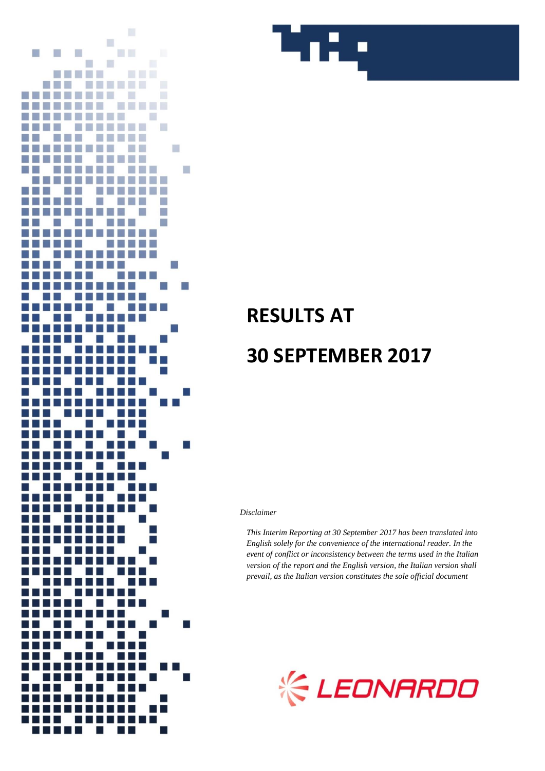



# **RESULTS AT 30 SEPTEMBER 2017**

*Disclaimer*

*This Interim Reporting at 30 September 2017 has been translated into English solely for the convenience of the international reader. In the event of conflict or inconsistency between the terms used in the Italian version of the report and the English version, the Italian version shall prevail, as the Italian version constitutes the sole official document*

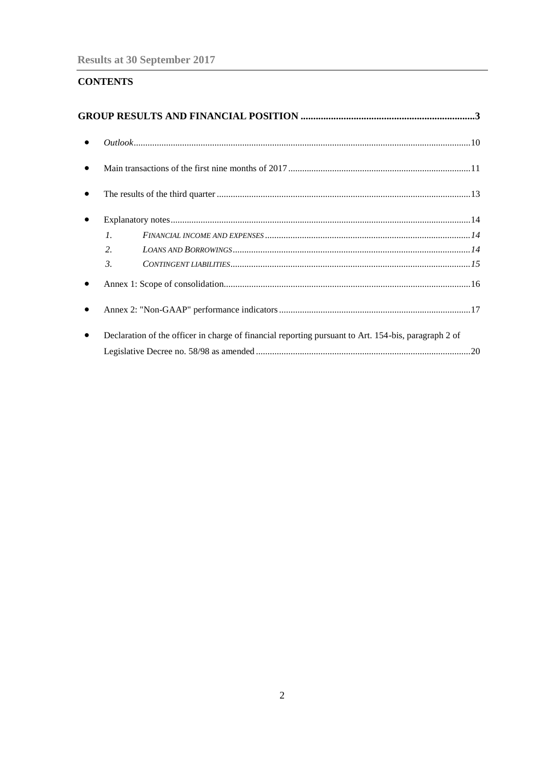# **CONTENTS**

| $\bullet$ |                                                                                                      |  |
|-----------|------------------------------------------------------------------------------------------------------|--|
| $\bullet$ |                                                                                                      |  |
|           |                                                                                                      |  |
|           | $\mathcal{I}$ .                                                                                      |  |
|           | 2.                                                                                                   |  |
|           | $CONTINGENT\ LLABILITIES$<br>$\mathfrak{Z}$                                                          |  |
|           |                                                                                                      |  |
|           |                                                                                                      |  |
| $\bullet$ | Declaration of the officer in charge of financial reporting pursuant to Art. 154-bis, paragraph 2 of |  |
|           |                                                                                                      |  |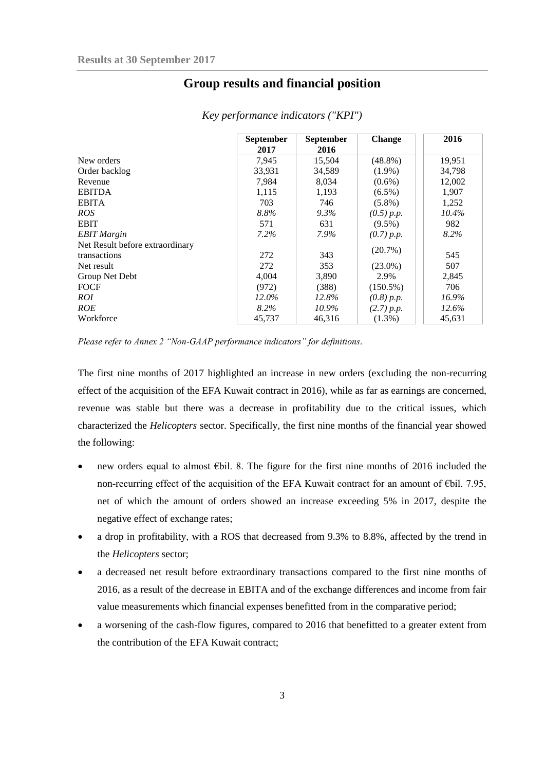# **Group results and financial position**

<span id="page-2-0"></span>

|                                 | <b>September</b><br>2017 | <b>September</b><br>2016 | <b>Change</b> | 2016     |
|---------------------------------|--------------------------|--------------------------|---------------|----------|
| New orders                      | 7,945                    | 15,504                   | $(48.8\%)$    | 19,951   |
| Order backlog                   | 33,931                   | 34,589                   | $(1.9\%)$     | 34,798   |
| Revenue                         | 7,984                    | 8,034                    | $(0.6\%)$     | 12,002   |
| <b>EBITDA</b>                   | 1,115                    | 1,193                    | $(6.5\%)$     | 1,907    |
| <b>EBITA</b>                    | 703                      | 746                      | $(5.8\%)$     | 1,252    |
| <i>ROS</i>                      | 8.8%                     | $9.3\%$                  | (0.5) p.p.    | 10.4%    |
| <b>EBIT</b>                     | 571                      | 631                      | $(9.5\%)$     | 982      |
| <b>EBIT</b> Margin              | $7.2\%$                  | 7.9%                     | (0.7) p.p.    | 8.2%     |
| Net Result before extraordinary |                          |                          |               |          |
| transactions                    | 272                      | 343                      | (20.7%)       | 545      |
| Net result                      | 272                      | 353                      | $(23.0\%)$    | 507      |
| Group Net Debt                  | 4,004                    | 3,890                    | 2.9%          | 2,845    |
| <b>FOCF</b>                     | (972)                    | (388)                    | $(150.5\%)$   | 706      |
| ROI                             | 12.0%                    | 12.8%                    | (0.8) p.p.    | 16.9%    |
| ROE                             | 8.2%                     | 10.9%                    | (2.7) p.p.    | $12.6\%$ |
| Workforce                       | 45,737                   | 46.316                   | $(1.3\%)$     | 45,631   |

*Key performance indicators ("KPI")*

*Please refer to Annex 2 "Non-GAAP performance indicators" for definitions.*

The first nine months of 2017 highlighted an increase in new orders (excluding the non-recurring effect of the acquisition of the EFA Kuwait contract in 2016), while as far as earnings are concerned, revenue was stable but there was a decrease in profitability due to the critical issues, which characterized the *Helicopters* sector. Specifically, the first nine months of the financial year showed the following:

- new orders equal to almost €bil. 8. The figure for the first nine months of 2016 included the non-recurring effect of the acquisition of the EFA Kuwait contract for an amount of  $\epsilon$ bil. 7.95, net of which the amount of orders showed an increase exceeding 5% in 2017, despite the negative effect of exchange rates;
- a drop in profitability, with a ROS that decreased from 9.3% to 8.8%, affected by the trend in the *Helicopters* sector;
- a decreased net result before extraordinary transactions compared to the first nine months of 2016, as a result of the decrease in EBITA and of the exchange differences and income from fair value measurements which financial expenses benefitted from in the comparative period;
- a worsening of the cash-flow figures, compared to 2016 that benefitted to a greater extent from the contribution of the EFA Kuwait contract;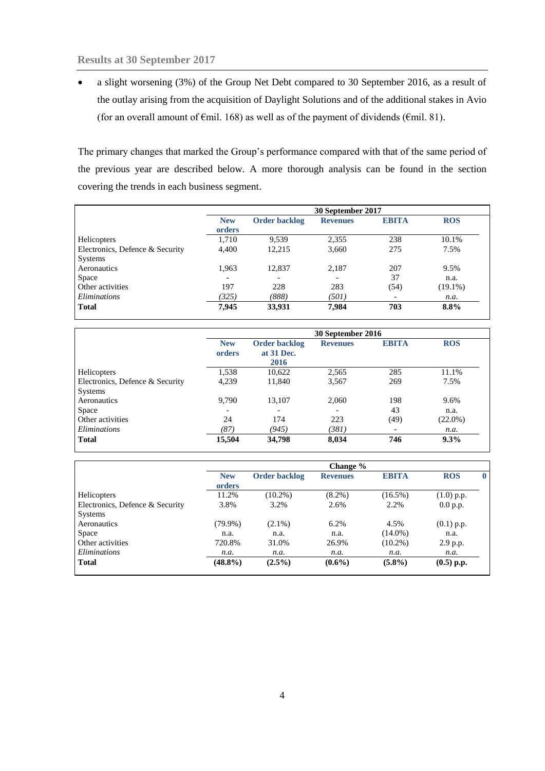a slight worsening (3%) of the Group Net Debt compared to 30 September 2016, as a result of the outlay arising from the acquisition of Daylight Solutions and of the additional stakes in Avio (for an overall amount of  $\epsilon$ mil. 168) as well as of the payment of dividends ( $\epsilon$ mil. 81).

The primary changes that marked the Group's performance compared with that of the same period of the previous year are described below. A more thorough analysis can be found in the section covering the trends in each business segment.

|                                 |                      | 30 September 2017    |                 |                          |            |
|---------------------------------|----------------------|----------------------|-----------------|--------------------------|------------|
|                                 | <b>New</b><br>orders | <b>Order backlog</b> | <b>Revenues</b> | <b>EBITA</b>             | <b>ROS</b> |
| <b>Helicopters</b>              | 1,710                | 9.539                | 2,355           | 238                      | 10.1%      |
| Electronics, Defence & Security | 4,400                | 12,215               | 3,660           | 275                      | 7.5%       |
| Systems                         |                      |                      |                 |                          |            |
| Aeronautics                     | 1,963                | 12,837               | 2,187           | 207                      | 9.5%       |
| Space                           | -                    |                      |                 | 37                       | n.a.       |
| Other activities                | 197                  | 228                  | 283             | (54)                     | $(19.1\%)$ |
| Eliminations                    | (325)                | (888)                | (501)           | $\overline{\phantom{a}}$ | n.a.       |
| <b>Total</b>                    | 7,945                | 33,931               | 7,984           | 703                      | 8.8%       |

|                                 | 30 September 2016    |                                    |                 |              |            |
|---------------------------------|----------------------|------------------------------------|-----------------|--------------|------------|
|                                 | <b>New</b><br>orders | <b>Order backlog</b><br>at 31 Dec. | <b>Revenues</b> | <b>EBITA</b> | <b>ROS</b> |
|                                 |                      | 2016                               |                 |              |            |
| Helicopters                     | 1,538                | 10,622                             | 2,565           | 285          | 11.1%      |
| Electronics, Defence & Security | 4,239                | 11,840                             | 3,567           | 269          | 7.5%       |
| <b>Systems</b>                  |                      |                                    |                 |              |            |
| Aeronautics                     | 9.790                | 13,107                             | 2,060           | 198          | 9.6%       |
| Space                           |                      | $\overline{\phantom{0}}$           |                 | 43           | n.a.       |
| Other activities                | 24                   | 174                                | 223             | (49)         | $(22.0\%)$ |
| <i>Eliminations</i>             | (87)                 | (945)                              | (381)           |              | n.a.       |
| <b>Total</b>                    | 15,504               | 34,798                             | 8,034           | 746          | 9.3%       |

|                                 |                      |                      | Change %        |              |              |  |
|---------------------------------|----------------------|----------------------|-----------------|--------------|--------------|--|
|                                 | <b>New</b><br>orders | <b>Order backlog</b> | <b>Revenues</b> | <b>EBITA</b> | <b>ROS</b>   |  |
| Helicopters                     | 11.2%                | $(10.2\%)$           | $(8.2\%)$       | $(16.5\%)$   | $(1.0)$ p.p. |  |
| Electronics, Defence & Security | 3.8%                 | 3.2%                 | 2.6%            | 2.2%         | 0.0 p.p.     |  |
| <b>Systems</b>                  |                      |                      |                 |              |              |  |
| Aeronautics                     | $(79.9\%)$           | $(2.1\%)$            | 6.2%            | 4.5%         | $(0.1)$ p.p. |  |
| Space                           | n.a.                 | n.a.                 | n.a.            | $(14.0\%)$   | n.a.         |  |
| Other activities                | 720.8%               | 31.0%                | 26.9%           | $(10.2\%)$   | 2.9 p.p.     |  |
| <i>Eliminations</i>             | n.a.                 | n.a.                 | n.a.            | n.a.         | n.a.         |  |
| <b>Total</b>                    | $(48.8\%)$           | $(2.5\%)$            | $(0.6\%)$       | $(5.8\%)$    | $(0.5)$ p.p. |  |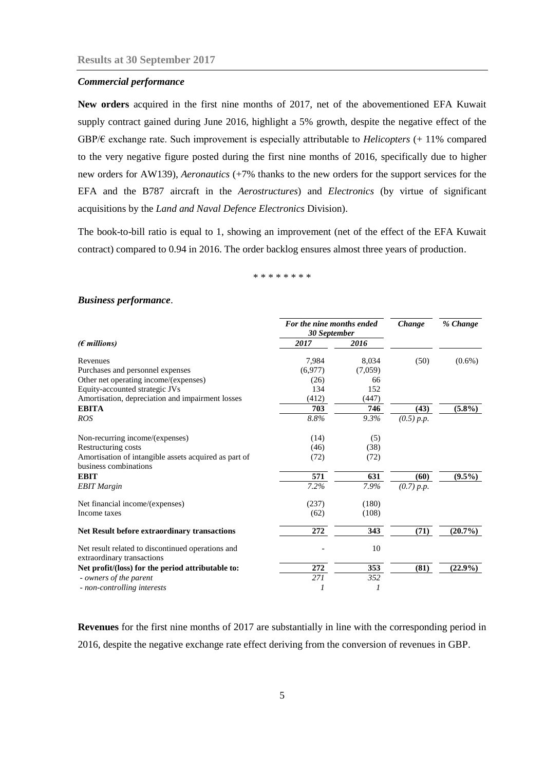## *Commercial performance*

**New orders** acquired in the first nine months of 2017, net of the abovementioned EFA Kuwait supply contract gained during June 2016, highlight a 5% growth, despite the negative effect of the GBP/€ exchange rate. Such improvement is especially attributable to *Helicopters* (+ 11% compared to the very negative figure posted during the first nine months of 2016, specifically due to higher new orders for AW139)*, Aeronautics* (+7% thanks to the new orders for the support services for the EFA and the B787 aircraft in the *Aerostructures*) and *Electronics* (by virtue of significant acquisitions by the *Land and Naval Defence Electronics* Division).

The book-to-bill ratio is equal to 1, showing an improvement (net of the effect of the EFA Kuwait contract) compared to 0.94 in 2016. The order backlog ensures almost three years of production.

\* \* \* \* \* \* \* \*

#### *Business performance*.

|                                                                                 | For the nine months ended<br>30 September |         | Change     | % Change   |
|---------------------------------------------------------------------------------|-------------------------------------------|---------|------------|------------|
| $(\epsilon$ millions)                                                           | 2017                                      | 2016    |            |            |
| Revenues                                                                        | 7,984                                     | 8,034   | (50)       | $(0.6\%)$  |
| Purchases and personnel expenses                                                | (6,977)                                   | (7,059) |            |            |
| Other net operating income/(expenses)                                           | (26)                                      | 66      |            |            |
| Equity-accounted strategic JVs                                                  | 134                                       | 152     |            |            |
| Amortisation, depreciation and impairment losses                                | (412)                                     | (447)   |            |            |
| <b>EBITA</b>                                                                    | 703                                       | 746     | (43)       | $(5.8\%)$  |
| <b>ROS</b>                                                                      | 8.8%                                      | 9.3%    | (0.5) p.p. |            |
| Non-recurring income/(expenses)                                                 | (14)                                      | (5)     |            |            |
| Restructuring costs                                                             | (46)                                      | (38)    |            |            |
| Amortisation of intangible assets acquired as part of<br>business combinations  | (72)                                      | (72)    |            |            |
| <b>EBIT</b>                                                                     | 571                                       | 631     | (60)       | $(9.5\%)$  |
| <b>EBIT</b> Margin                                                              | 7.2%                                      | 7.9%    | (0.7) p.p. |            |
| Net financial income/(expenses)                                                 | (237)                                     | (180)   |            |            |
| Income taxes                                                                    | (62)                                      | (108)   |            |            |
| Net Result before extraordinary transactions                                    | 272                                       | 343     | (71)       | $(20.7\%)$ |
| Net result related to discontinued operations and<br>extraordinary transactions |                                           | 10      |            |            |
| Net profit/(loss) for the period attributable to:                               | 272                                       | 353     | (81)       | $(22.9\%)$ |
| - owners of the parent                                                          | 271                                       | 352     |            |            |
| - non-controlling interests                                                     |                                           | 1       |            |            |

**Revenues** for the first nine months of 2017 are substantially in line with the corresponding period in 2016, despite the negative exchange rate effect deriving from the conversion of revenues in GBP.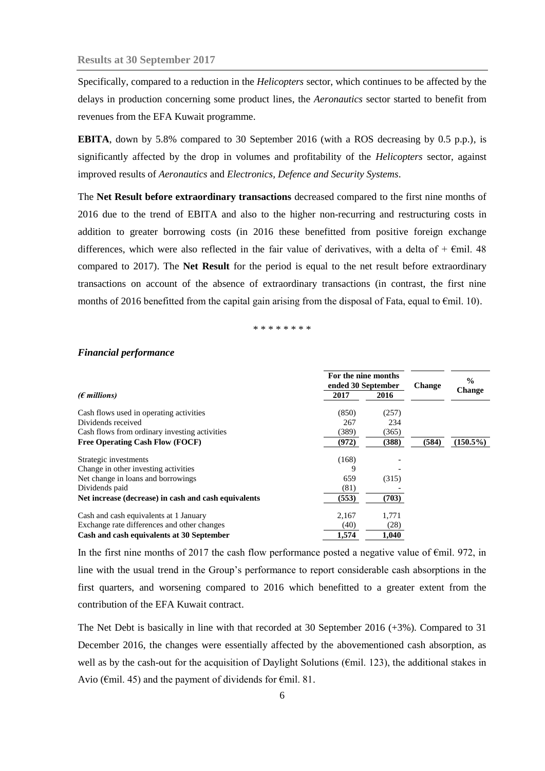Specifically, compared to a reduction in the *Helicopters* sector, which continues to be affected by the delays in production concerning some product lines, the *Aeronautics* sector started to benefit from revenues from the EFA Kuwait programme.

**EBITA**, down by 5.8% compared to 30 September 2016 (with a ROS decreasing by 0.5 p.p.), is significantly affected by the drop in volumes and profitability of the *Helicopters* sector, against improved results of *Aeronautics* and *Electronics, Defence and Security Systems*.

The **Net Result before extraordinary transactions** decreased compared to the first nine months of 2016 due to the trend of EBITA and also to the higher non-recurring and restructuring costs in addition to greater borrowing costs (in 2016 these benefitted from positive foreign exchange differences, which were also reflected in the fair value of derivatives, with a delta of  $+ \epsilon$ mil. 48 compared to 2017). The **Net Result** for the period is equal to the net result before extraordinary transactions on account of the absence of extraordinary transactions (in contrast, the first nine months of 2016 benefitted from the capital gain arising from the disposal of Fata, equal to  $\epsilon$ mil. 10).

## \* \* \* \* \* \* \* \*

#### *Financial performance*

|                                                      | For the nine months<br>ended 30 September |       | <b>Change</b> | $\frac{0}{0}$ |
|------------------------------------------------------|-------------------------------------------|-------|---------------|---------------|
| $(E$ millions)                                       | 2017                                      | 2016  |               | <b>Change</b> |
| Cash flows used in operating activities              | (850)                                     | (257) |               |               |
| Dividends received                                   | 267                                       | 234   |               |               |
| Cash flows from ordinary investing activities        | (389)                                     | (365) |               |               |
| <b>Free Operating Cash Flow (FOCF)</b>               | (972)                                     | (388) | (584)         | $(150.5\%)$   |
| Strategic investments                                | (168)                                     |       |               |               |
| Change in other investing activities                 | 9                                         |       |               |               |
| Net change in loans and borrowings                   | 659                                       | (315) |               |               |
| Dividends paid                                       | (81)                                      |       |               |               |
| Net increase (decrease) in cash and cash equivalents | (553)                                     | (703) |               |               |
| Cash and cash equivalents at 1 January               | 2,167                                     | 1,771 |               |               |
| Exchange rate differences and other changes          | (40)                                      | (28)  |               |               |
| Cash and cash equivalents at 30 September            | 1.574                                     | 1.040 |               |               |

In the first nine months of 2017 the cash flow performance posted a negative value of  $\epsilon$ mil. 972, in line with the usual trend in the Group's performance to report considerable cash absorptions in the first quarters, and worsening compared to 2016 which benefitted to a greater extent from the contribution of the EFA Kuwait contract.

The Net Debt is basically in line with that recorded at 30 September 2016 (+3%). Compared to 31 December 2016, the changes were essentially affected by the abovementioned cash absorption, as well as by the cash-out for the acquisition of Daylight Solutions (€mil. 123), the additional stakes in Avio (€mil. 45) and the payment of dividends for €mil. 81.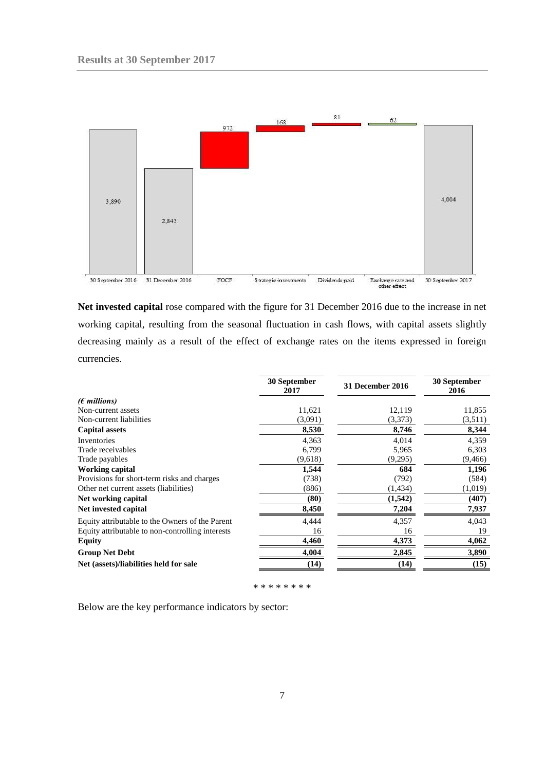

**Net invested capital** rose compared with the figure for 31 December 2016 due to the increase in net working capital, resulting from the seasonal fluctuation in cash flows, with capital assets slightly decreasing mainly as a result of the effect of exchange rates on the items expressed in foreign currencies.

| 2017    | 31 December 2016 | 30 September<br>2016 |
|---------|------------------|----------------------|
|         |                  |                      |
| 11,621  | 12,119           | 11,855               |
| (3,091) | (3,373)          | (3,511)              |
| 8,530   | 8,746            | 8,344                |
| 4,363   | 4,014            | 4,359                |
| 6,799   | 5,965            | 6,303                |
| (9,618) | (9,295)          | (9, 466)             |
| 1,544   | 684              | 1,196                |
| (738)   | (792)            | (584)                |
| (886)   | (1, 434)         | (1,019)              |
| (80)    | (1,542)          | (407)                |
| 8,450   | 7,204            | 7,937                |
| 4,444   | 4,357            | 4,043                |
| 16      | 16               | 19                   |
| 4,460   | 4,373            | 4,062                |
| 4,004   | 2,845            | 3,890                |
| (14)    | (14)             | (15)                 |
|         |                  |                      |

\* \* \* \* \* \* \* \*

Below are the key performance indicators by sector: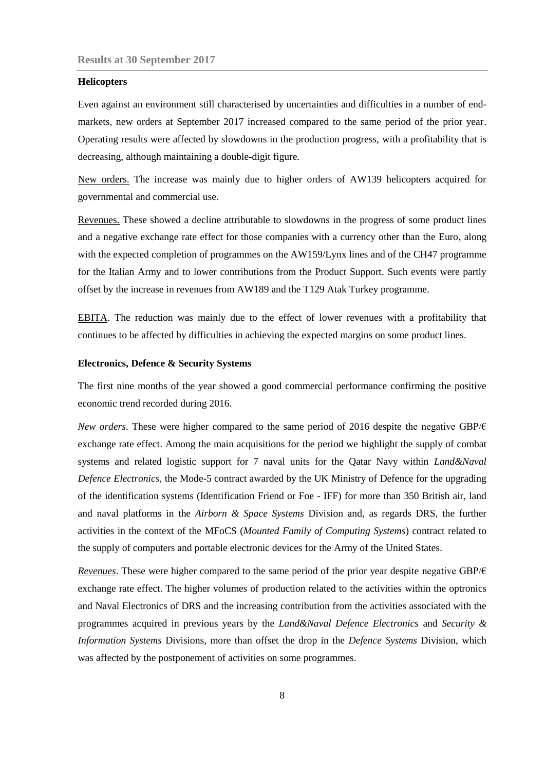## **Helicopters**

Even against an environment still characterised by uncertainties and difficulties in a number of endmarkets, new orders at September 2017 increased compared to the same period of the prior year. Operating results were affected by slowdowns in the production progress, with a profitability that is decreasing, although maintaining a double-digit figure.

New orders. The increase was mainly due to higher orders of AW139 helicopters acquired for governmental and commercial use.

Revenues. These showed a decline attributable to slowdowns in the progress of some product lines and a negative exchange rate effect for those companies with a currency other than the Euro, along with the expected completion of programmes on the AW159/Lynx lines and of the CH47 programme for the Italian Army and to lower contributions from the Product Support. Such events were partly offset by the increase in revenues from AW189 and the T129 Atak Turkey programme.

EBITA. The reduction was mainly due to the effect of lower revenues with a profitability that continues to be affected by difficulties in achieving the expected margins on some product lines.

## **Electronics, Defence & Security Systems**

The first nine months of the year showed a good commercial performance confirming the positive economic trend recorded during 2016.

*New orders*. These were higher compared to the same period of 2016 despite the negative GBP/€ exchange rate effect. Among the main acquisitions for the period we highlight the supply of combat systems and related logistic support for 7 naval units for the Qatar Navy within *Land&Naval Defence Electronics,* the Mode-5 contract awarded by the UK Ministry of Defence for the upgrading of the identification systems (Identification Friend or Foe - IFF) for more than 350 British air, land and naval platforms in the *Airborn & Space Systems* Division and, as regards DRS, the further activities in the context of the MFoCS (*Mounted Family of Computing Systems*) contract related to the supply of computers and portable electronic devices for the Army of the United States.

*Revenues*. These were higher compared to the same period of the prior year despite negative GBP/€ exchange rate effect. The higher volumes of production related to the activities within the optronics and Naval Electronics of DRS and the increasing contribution from the activities associated with the programmes acquired in previous years by the *Land&Naval Defence Electronics* and *Security & Information Systems* Divisions, more than offset the drop in the *Defence Systems* Division, which was affected by the postponement of activities on some programmes.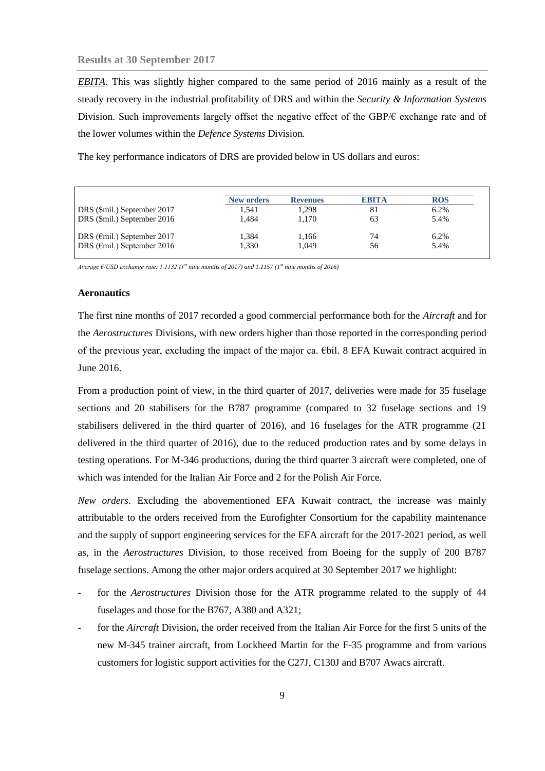*EBITA*. This was slightly higher compared to the same period of 2016 mainly as a result of the steady recovery in the industrial profitability of DRS and within the *Security & Information Systems*  Division. Such improvements largely offset the negative effect of the GBP/ $\epsilon$  exchange rate and of the lower volumes within the *Defence Systems* Division*.*

The key performance indicators of DRS are provided below in US dollars and euros:

|                                       | <b>New orders</b> | <b>Revenues</b> | <b>EBITA</b> | <b>ROS</b> |
|---------------------------------------|-------------------|-----------------|--------------|------------|
| DRS (\$mil.) September 2017           | 1.541             | 1.298           | 81           | 6.2%       |
| DRS (\$mil.) September 2016           | 1.484             | 1.170           | 63           | 5.4%       |
| DRS ( $\epsilon$ mil.) September 2017 | 1.384             | 1,166           | 74           | 6.2%       |
| DRS ( $\epsilon$ mil.) September 2016 | 1.330             | 1.049           | 56           | 5.4%       |

*Average €/USD exchange rate: 1.1132 (1st nine months of 2017) and 1.1157 (1st nine months of 2016)*

#### **Aeronautics**

The first nine months of 2017 recorded a good commercial performance both for the *Aircraft* and for the *Aerostructures* Divisions, with new orders higher than those reported in the corresponding period of the previous year, excluding the impact of the major ca. €bil. 8 EFA Kuwait contract acquired in June 2016.

From a production point of view, in the third quarter of 2017, deliveries were made for 35 fuselage sections and 20 stabilisers for the B787 programme (compared to 32 fuselage sections and 19 stabilisers delivered in the third quarter of 2016), and 16 fuselages for the ATR programme (21 delivered in the third quarter of 2016), due to the reduced production rates and by some delays in testing operations. For M-346 productions, during the third quarter 3 aircraft were completed, one of which was intended for the Italian Air Force and 2 for the Polish Air Force.

*New orders*. Excluding the abovementioned EFA Kuwait contract, the increase was mainly attributable to the orders received from the Eurofighter Consortium for the capability maintenance and the supply of support engineering services for the EFA aircraft for the 2017-2021 period, as well as, in the *Aerostructures* Division, to those received from Boeing for the supply of 200 B787 fuselage sections. Among the other major orders acquired at 30 September 2017 we highlight:

- for the *Aerostructures* Division those for the ATR programme related to the supply of 44 fuselages and those for the B767, A380 and A321;
- for the *Aircraft* Division, the order received from the Italian Air Force for the first 5 units of the new M-345 trainer aircraft, from Lockheed Martin for the F-35 programme and from various customers for logistic support activities for the C27J, C130J and B707 Awacs aircraft.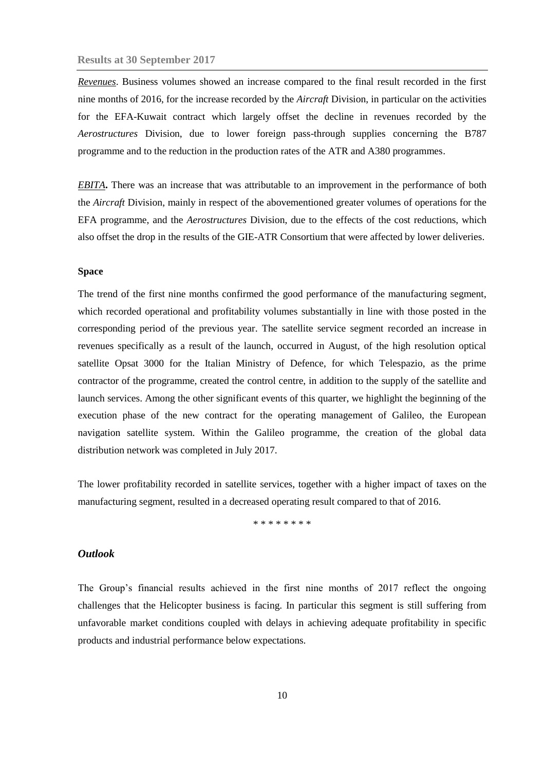*Revenues*. Business volumes showed an increase compared to the final result recorded in the first nine months of 2016, for the increase recorded by the *Aircraft* Division, in particular on the activities for the EFA-Kuwait contract which largely offset the decline in revenues recorded by the *Aerostructures* Division, due to lower foreign pass-through supplies concerning the B787 programme and to the reduction in the production rates of the ATR and A380 programmes.

*EBITA***.** There was an increase that was attributable to an improvement in the performance of both the *Aircraft* Division, mainly in respect of the abovementioned greater volumes of operations for the EFA programme, and the *Aerostructures* Division, due to the effects of the cost reductions, which also offset the drop in the results of the GIE-ATR Consortium that were affected by lower deliveries.

## **Space**

The trend of the first nine months confirmed the good performance of the manufacturing segment, which recorded operational and profitability volumes substantially in line with those posted in the corresponding period of the previous year. The satellite service segment recorded an increase in revenues specifically as a result of the launch, occurred in August, of the high resolution optical satellite Opsat 3000 for the Italian Ministry of Defence, for which Telespazio, as the prime contractor of the programme, created the control centre, in addition to the supply of the satellite and launch services. Among the other significant events of this quarter, we highlight the beginning of the execution phase of the new contract for the operating management of Galileo, the European navigation satellite system. Within the Galileo programme, the creation of the global data distribution network was completed in July 2017.

The lower profitability recorded in satellite services, together with a higher impact of taxes on the manufacturing segment, resulted in a decreased operating result compared to that of 2016.

\* \* \* \* \* \* \* \*

## <span id="page-9-0"></span>*Outlook*

The Group's financial results achieved in the first nine months of 2017 reflect the ongoing challenges that the Helicopter business is facing. In particular this segment is still suffering from unfavorable market conditions coupled with delays in achieving adequate profitability in specific products and industrial performance below expectations.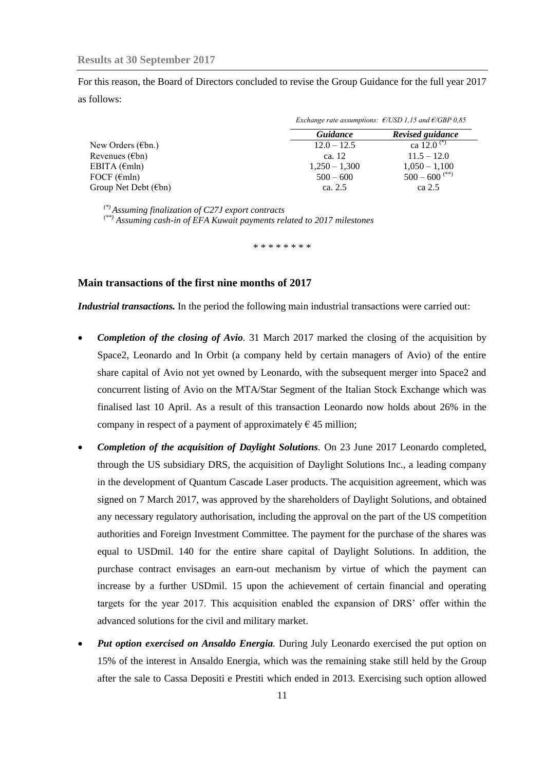For this reason, the Board of Directors concluded to revise the Group Guidance for the full year 2017 as follows:

|                                |                 | Exchange rate assumptions: $\epsilon$ /USD 1,15 and $\epsilon$ /GBP 0,85 |
|--------------------------------|-----------------|--------------------------------------------------------------------------|
|                                | Guidance        | Revised guidance                                                         |
| New Orders ( $\epsilon$ bn.)   | $12.0 - 12.5$   | ca 12.0 <sup>(*)</sup>                                                   |
| Revenues $(\epsilon$ bn)       | ca. 12          | $11.5 - 12.0$                                                            |
| EBITA $(\epsilon m \ln)$       | $1,250 - 1,300$ | $1,050 - 1,100$                                                          |
| FOCF $(\epsilon mln)$          | $500 - 600$     | $500 - 600$ <sup>(**)</sup>                                              |
| Group Net Debt $(\epsilon$ bn) | ca. 2.5         | ca 2.5                                                                   |

*(\*) Assuming finalization of C27J export contracts*

*(\*\*) Assuming cash-in of EFA Kuwait payments related to 2017 milestones*

\* \* \* \* \* \* \* \*

## <span id="page-10-0"></span>**Main transactions of the first nine months of 2017**

*Industrial transactions.* In the period the following main industrial transactions were carried out:

- *Completion of the closing of Avio.* 31 March 2017 marked the closing of the acquisition by Space2, Leonardo and In Orbit (a company held by certain managers of Avio) of the entire share capital of Avio not yet owned by Leonardo, with the subsequent merger into Space2 and concurrent listing of Avio on the MTA/Star Segment of the Italian Stock Exchange which was finalised last 10 April. As a result of this transaction Leonardo now holds about 26% in the company in respect of a payment of approximately  $\epsilon$  45 million;
- *Completion of the acquisition of Daylight Solutions.* On 23 June 2017 Leonardo completed, through the US subsidiary DRS, the acquisition of Daylight Solutions Inc., a leading company in the development of Quantum Cascade Laser products. The acquisition agreement, which was signed on 7 March 2017, was approved by the shareholders of Daylight Solutions, and obtained any necessary regulatory authorisation, including the approval on the part of the US competition authorities and Foreign Investment Committee. The payment for the purchase of the shares was equal to USDmil. 140 for the entire share capital of Daylight Solutions. In addition, the purchase contract envisages an earn-out mechanism by virtue of which the payment can increase by a further USDmil. 15 upon the achievement of certain financial and operating targets for the year 2017. This acquisition enabled the expansion of DRS' offer within the advanced solutions for the civil and military market.
- *Put option exercised on Ansaldo Energia.* During July Leonardo exercised the put option on 15% of the interest in Ansaldo Energia, which was the remaining stake still held by the Group after the sale to Cassa Depositi e Prestiti which ended in 2013. Exercising such option allowed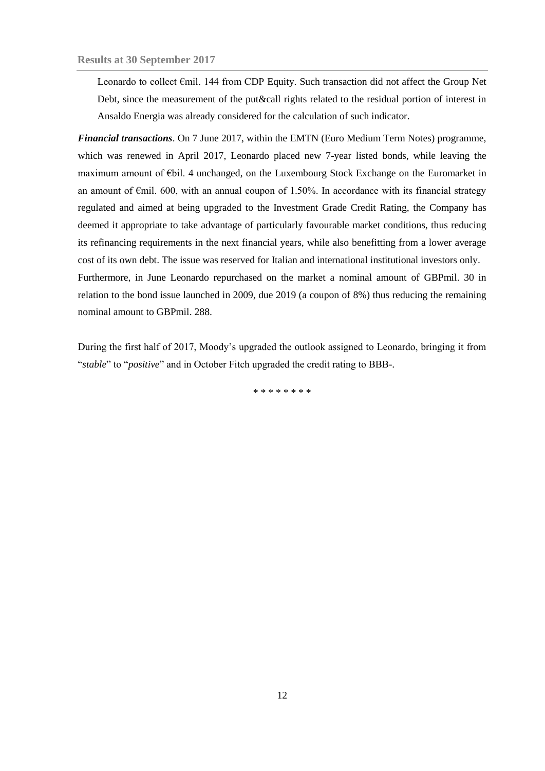Leonardo to collect €mil. 144 from CDP Equity. Such transaction did not affect the Group Net Debt, since the measurement of the put&call rights related to the residual portion of interest in Ansaldo Energia was already considered for the calculation of such indicator.

*Financial transactions*. On 7 June 2017, within the EMTN (Euro Medium Term Notes) programme, which was renewed in April 2017, Leonardo placed new 7-year listed bonds, while leaving the maximum amount of €bil. 4 unchanged, on the Luxembourg Stock Exchange on the Euromarket in an amount of  $\epsilon$ mil. 600, with an annual coupon of 1.50%. In accordance with its financial strategy regulated and aimed at being upgraded to the Investment Grade Credit Rating, the Company has deemed it appropriate to take advantage of particularly favourable market conditions, thus reducing its refinancing requirements in the next financial years, while also benefitting from a lower average cost of its own debt. The issue was reserved for Italian and international institutional investors only. Furthermore, in June Leonardo repurchased on the market a nominal amount of GBPmil. 30 in relation to the bond issue launched in 2009, due 2019 (a coupon of 8%) thus reducing the remaining nominal amount to GBPmil. 288.

During the first half of 2017, Moody's upgraded the outlook assigned to Leonardo, bringing it from "*stable*" to "*positive*" and in October Fitch upgraded the credit rating to BBB-.

\* \* \* \* \* \* \* \*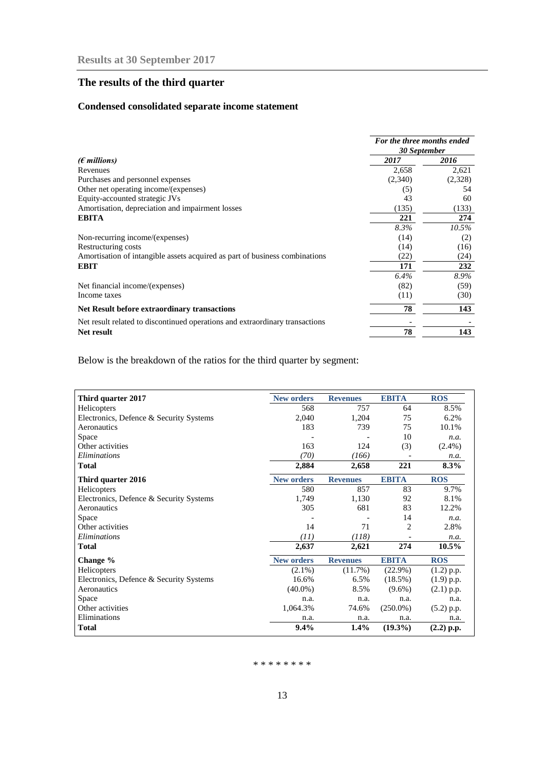# <span id="page-12-0"></span>**The results of the third quarter**

## **Condensed consolidated separate income statement**

|                                                                              | For the three months ended<br>30 September |         |  |
|------------------------------------------------------------------------------|--------------------------------------------|---------|--|
| ( $\epsilon$ millions)                                                       | 2017                                       | 2016    |  |
| Revenues                                                                     | 2,658                                      | 2,621   |  |
| Purchases and personnel expenses                                             | (2,340)                                    | (2,328) |  |
| Other net operating income/(expenses)                                        | (5)                                        | 54      |  |
| Equity-accounted strategic JVs                                               | 43                                         | 60      |  |
| Amortisation, depreciation and impairment losses                             | (135)                                      | (133)   |  |
| <b>EBITA</b>                                                                 | 221                                        | 274     |  |
|                                                                              | 8.3%                                       | 10.5%   |  |
| Non-recurring income/(expenses)                                              | (14)                                       | (2)     |  |
| Restructuring costs                                                          | (14)                                       | (16)    |  |
| Amortisation of intangible assets acquired as part of business combinations  | (22)                                       | (24)    |  |
| <b>EBIT</b>                                                                  | 171                                        | 232     |  |
|                                                                              | 6.4%                                       | 8.9%    |  |
| Net financial income/(expenses)                                              | (82)                                       | (59)    |  |
| Income taxes                                                                 | (11)                                       | (30)    |  |
| <b>Net Result before extraordinary transactions</b>                          | 78                                         | 143     |  |
| Net result related to discontinued operations and extraordinary transactions |                                            |         |  |
| Net result                                                                   | 78                                         | 143     |  |

Below is the breakdown of the ratios for the third quarter by segment:

| Third quarter 2017                      | <b>New orders</b> | <b>Revenues</b> | <b>EBITA</b>   | <b>ROS</b>   |
|-----------------------------------------|-------------------|-----------------|----------------|--------------|
| Helicopters                             | 568               | 757             | 64             | 8.5%         |
| Electronics, Defence & Security Systems | 2,040             | 1,204           | 75             | 6.2%         |
| Aeronautics                             | 183               | 739             | 75             | 10.1%        |
| Space                                   |                   |                 | 10             | n.a.         |
| Other activities                        | 163               | 124             | (3)            | $(2.4\%)$    |
| Eliminations                            | (70)              | (166)           |                | n.a.         |
| <b>Total</b>                            | 2,884             | 2,658           | 221            | 8.3%         |
| Third quarter 2016                      | <b>New orders</b> | <b>Revenues</b> | <b>EBITA</b>   | <b>ROS</b>   |
| Helicopters                             | 580               | 857             | 83             | 9.7%         |
| Electronics, Defence & Security Systems | 1,749             | 1,130           | 92             | 8.1%         |
| Aeronautics                             | 305               | 681             | 83             | 12.2%        |
| Space                                   |                   |                 | 14             | n.a.         |
| Other activities                        | 14                | 71              | $\overline{2}$ | 2.8%         |
| Eliminations                            | (11)              | (118)           |                | n.a.         |
| <b>Total</b>                            | 2,637             | 2,621           | 274            | 10.5%        |
| Change %                                | <b>New orders</b> | <b>Revenues</b> | <b>EBITA</b>   | <b>ROS</b>   |
| Helicopters                             | $(2.1\%)$         | (11.7%)         | $(22.9\%)$     | $(1.2)$ p.p. |
| Electronics, Defence & Security Systems | 16.6%             | 6.5%            | (18.5%)        | $(1.9)$ p.p. |
| Aeronautics                             | $(40.0\%)$        | 8.5%            | $(9.6\%)$      | $(2.1)$ p.p. |
| Space                                   | n.a.              | n.a.            | n.a.           | n.a.         |
| Other activities                        | 1,064.3%          | 74.6%           | $(250.0\%)$    | $(5.2)$ p.p. |
| Eliminations                            | n.a.              | n.a.            | n.a.           | n.a.         |
| <b>Total</b>                            | 9.4%              | 1.4%            | $(19.3\%)$     | $(2.2)$ p.p. |

#### \* \* \* \* \* \* \* \*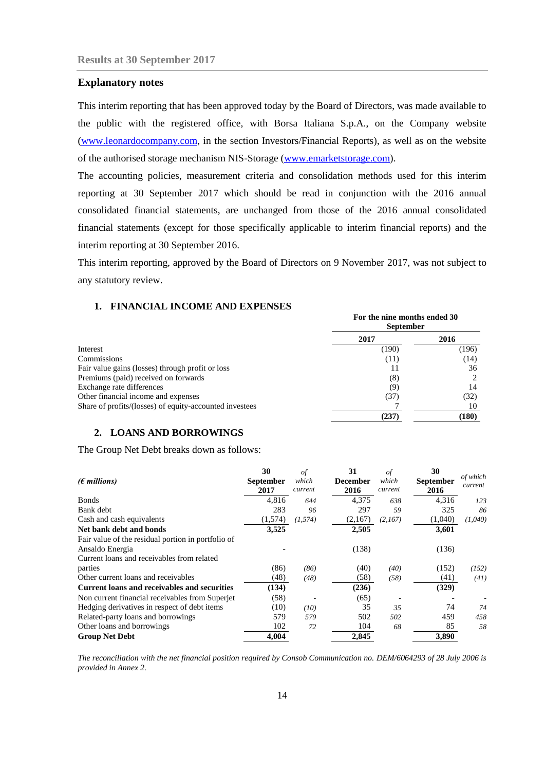## <span id="page-13-0"></span>**Explanatory notes**

This interim reporting that has been approved today by the Board of Directors, was made available to the public with the registered office, with Borsa Italiana S.p.A., on the Company website [\(www.leonardocompany.com,](http://www.leonardocompany.com/) in the section Investors/Financial Reports), as well as on the website of the authorised storage mechanism NIS-Storage [\(www.emarketstorage.com\)](http://www.emarketstorage.com/).

The accounting policies, measurement criteria and consolidation methods used for this interim reporting at 30 September 2017 which should be read in conjunction with the 2016 annual consolidated financial statements, are unchanged from those of the 2016 annual consolidated financial statements (except for those specifically applicable to interim financial reports) and the interim reporting at 30 September 2016.

This interim reporting, approved by the Board of Directors on 9 November 2017, was not subject to any statutory review.

## <span id="page-13-1"></span>**1. FINANCIAL INCOME AND EXPENSES**

|                                                         | For the nine months ended 30<br><b>September</b> |       |  |
|---------------------------------------------------------|--------------------------------------------------|-------|--|
|                                                         | 2017                                             | 2016  |  |
| Interest                                                | (190)                                            | (196) |  |
| Commissions                                             | (11)                                             | (14)  |  |
| Fair value gains (losses) through profit or loss        |                                                  | 36    |  |
| Premiums (paid) received on forwards                    | (8)                                              |       |  |
| Exchange rate differences                               | (9)                                              | 14    |  |
| Other financial income and expenses                     | (37)                                             | (32)  |  |
| Share of profits/(losses) of equity-accounted investees |                                                  | 10    |  |
|                                                         | (237)                                            | (180) |  |

## <span id="page-13-2"></span>**2. LOANS AND BORROWINGS**

The Group Net Debt breaks down as follows:

|                                                     | 30               | $\sigma f$ | 31              | of      | 30               |                     |
|-----------------------------------------------------|------------------|------------|-----------------|---------|------------------|---------------------|
| $(\epsilon$ millions)                               | <b>September</b> | which      | <b>December</b> | which   | <b>September</b> | of which<br>current |
|                                                     | 2017             | current    | 2016            | current | 2016             |                     |
| <b>Bonds</b>                                        | 4.816            | 644        | 4,375           | 638     | 4,316            | 123                 |
| Bank debt                                           | 283              | 96         | 297             | 59      | 325              | 86                  |
| Cash and cash equivalents                           | (1,574)          | (1, 574)   | (2,167)         | (2,167) | (1,040)          | (1,040)             |
| Net bank debt and bonds                             | 3,525            |            | 2,505           |         | 3,601            |                     |
| Fair value of the residual portion in portfolio of  |                  |            |                 |         |                  |                     |
| Ansaldo Energia                                     |                  |            | (138)           |         | (136)            |                     |
| Current loans and receivables from related          |                  |            |                 |         |                  |                     |
| parties                                             | (86)             | (86)       | (40)            | (40)    | (152)            | (152)               |
| Other current loans and receivables                 | (48)             | (48)       | (58)            | (58)    | (41)             | (41)                |
| <b>Current loans and receivables and securities</b> | (134)            |            | (236)           |         | (329)            |                     |
| Non current financial receivables from Superjet     | (58)             |            | (65)            |         |                  |                     |
| Hedging derivatives in respect of debt items        | (10)             | (10)       | 35              | 35      | 74               | 74                  |
| Related-party loans and borrowings                  | 579              | 579        | 502             | 502     | 459              | 458                 |
| Other loans and borrowings                          | 102              | 72         | 104             | 68      | 85               | 58                  |
| <b>Group Net Debt</b>                               | 4.004            |            | 2,845           |         | 3,890            |                     |

*The reconciliation with the net financial position required by Consob Communication no. DEM/6064293 of 28 July 2006 is provided in Annex 2.*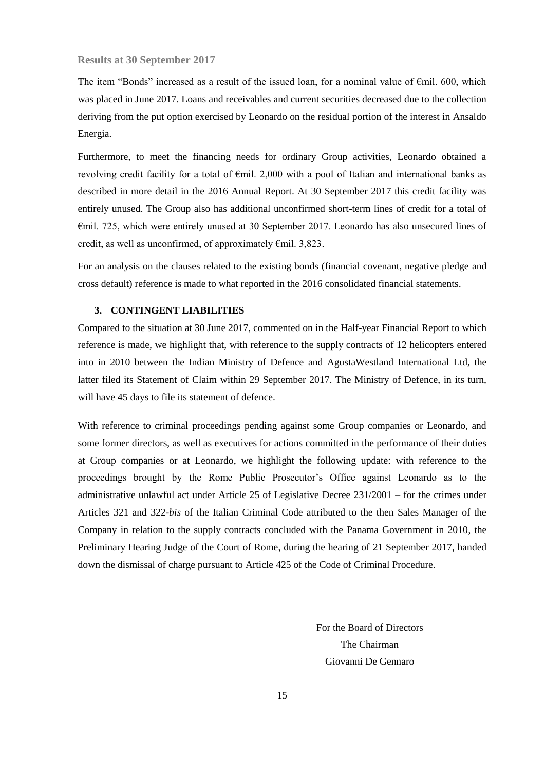The item "Bonds" increased as a result of the issued loan, for a nominal value of  $\epsilon$ mil. 600, which was placed in June 2017. Loans and receivables and current securities decreased due to the collection deriving from the put option exercised by Leonardo on the residual portion of the interest in Ansaldo Energia.

Furthermore, to meet the financing needs for ordinary Group activities, Leonardo obtained a revolving credit facility for a total of €mil. 2,000 with a pool of Italian and international banks as described in more detail in the 2016 Annual Report. At 30 September 2017 this credit facility was entirely unused. The Group also has additional unconfirmed short-term lines of credit for a total of €mil. 725, which were entirely unused at 30 September 2017. Leonardo has also unsecured lines of credit, as well as unconfirmed, of approximately  $\epsilon$ mil. 3,823.

For an analysis on the clauses related to the existing bonds (financial covenant, negative pledge and cross default) reference is made to what reported in the 2016 consolidated financial statements.

## <span id="page-14-0"></span>**3. CONTINGENT LIABILITIES**

Compared to the situation at 30 June 2017, commented on in the Half-year Financial Report to which reference is made, we highlight that, with reference to the supply contracts of 12 helicopters entered into in 2010 between the Indian Ministry of Defence and AgustaWestland International Ltd, the latter filed its Statement of Claim within 29 September 2017. The Ministry of Defence, in its turn, will have 45 days to file its statement of defence.

With reference to criminal proceedings pending against some Group companies or Leonardo, and some former directors, as well as executives for actions committed in the performance of their duties at Group companies or at Leonardo, we highlight the following update: with reference to the proceedings brought by the Rome Public Prosecutor's Office against Leonardo as to the administrative unlawful act under Article 25 of Legislative Decree 231/2001 – for the crimes under Articles 321 and 322-*bis* of the Italian Criminal Code attributed to the then Sales Manager of the Company in relation to the supply contracts concluded with the Panama Government in 2010, the Preliminary Hearing Judge of the Court of Rome, during the hearing of 21 September 2017, handed down the dismissal of charge pursuant to Article 425 of the Code of Criminal Procedure.

> For the Board of Directors The Chairman Giovanni De Gennaro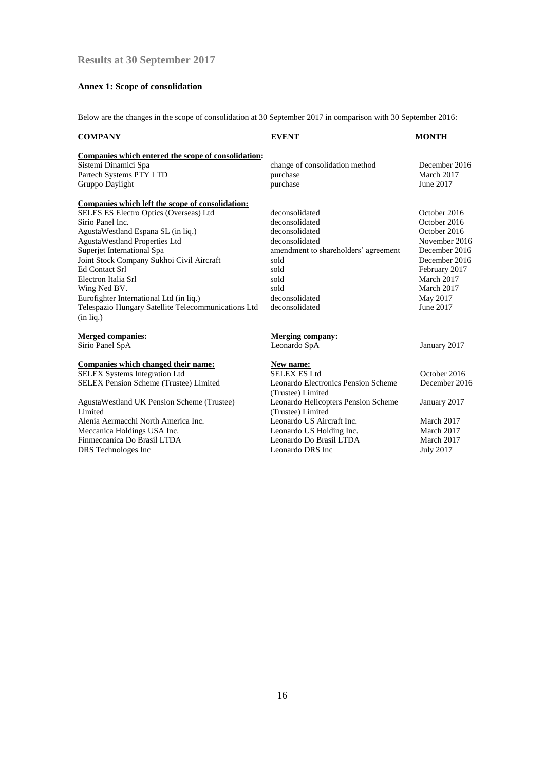## <span id="page-15-0"></span>**Annex 1: Scope of consolidation**

Below are the changes in the scope of consolidation at 30 September 2017 in comparison with 30 September 2016:

| <b>COMPANY</b>                                      | <b>EVENT</b>                         | <b>MONTH</b>  |
|-----------------------------------------------------|--------------------------------------|---------------|
| Companies which entered the scope of consolidation: |                                      |               |
| Sistemi Dinamici Spa                                | change of consolidation method       | December 2016 |
| Partech Systems PTY LTD                             | purchase                             | March 2017    |
| Gruppo Daylight                                     | purchase                             | June 2017     |
| Companies which left the scope of consolidation:    |                                      |               |
| SELES ES Electro Optics (Overseas) Ltd              | deconsolidated                       | October 2016  |
| Sirio Panel Inc.                                    | deconsolidated                       | October 2016  |
| AgustaWestland Espana SL (in liq.)                  | deconsolidated                       | October 2016  |
| <b>AgustaWestland Properties Ltd</b>                | deconsolidated                       | November 2016 |
| Superjet International Spa                          | amendment to shareholders' agreement | December 2016 |
| Joint Stock Company Sukhoi Civil Aircraft           | sold                                 | December 2016 |
| <b>Ed Contact Srl</b>                               | sold                                 | February 2017 |
| Electron Italia Srl                                 | sold                                 | March 2017    |
| Wing Ned BV.                                        | sold                                 | March 2017    |
| Eurofighter International Ltd (in liq.)             | deconsolidated                       | May 2017      |
| Telespazio Hungary Satellite Telecommunications Ltd | deconsolidated                       | June 2017     |
| $(in$ lig.)                                         |                                      |               |
| <b>Merged companies:</b>                            | <b>Merging company:</b>              |               |
| Sirio Panel SpA                                     | Leonardo SpA                         | January 2017  |
| Companies which changed their name:                 | New name:                            |               |
| SELEX Systems Integration Ltd                       | <b>SELEX ES Ltd</b>                  | October 2016  |
| <b>SELEX Pension Scheme (Trustee) Limited</b>       | Leonardo Electronics Pension Scheme  | December 2016 |
|                                                     | (Trustee) Limited                    |               |
| AgustaWestland UK Pension Scheme (Trustee)          | Leonardo Helicopters Pension Scheme  | January 2017  |
| Limited                                             | (Trustee) Limited                    |               |
| Alenia Aermacchi North America Inc.                 | Leonardo US Aircraft Inc.            | March 2017    |

Limited Alenia Aermacchi North America Inc. Leonardo US Aircraft Inc. March 2017 Meccanica Holdings USA Inc.<br>
Eeonardo US Holding Inc.<br>
March 2017<br>
March 2017<br>
March 2017<br>
March 2017 Finmeccanica Do Brasil LTDA DRS Technologes Inc Leonardo DRS Inc July 2017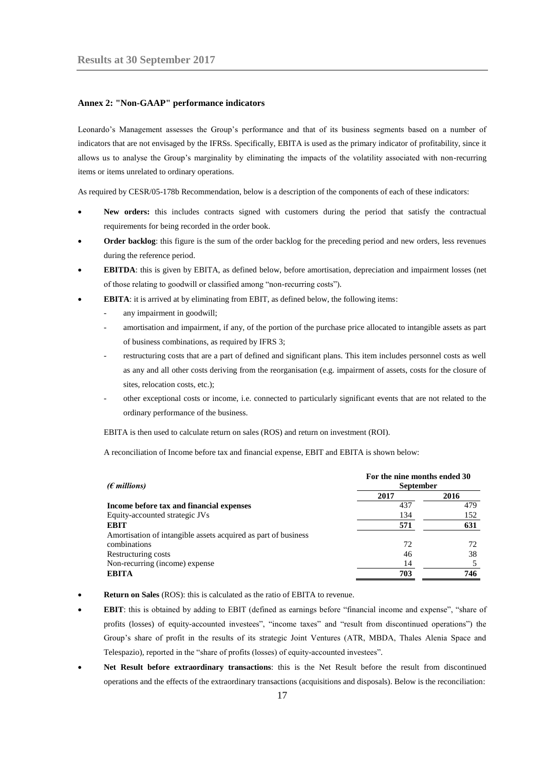#### <span id="page-16-0"></span>**Annex 2: "Non-GAAP" performance indicators**

Leonardo's Management assesses the Group's performance and that of its business segments based on a number of indicators that are not envisaged by the IFRSs. Specifically, EBITA is used as the primary indicator of profitability, since it allows us to analyse the Group's marginality by eliminating the impacts of the volatility associated with non-recurring items or items unrelated to ordinary operations.

As required by CESR/05-178b Recommendation, below is a description of the components of each of these indicators:

- **New orders:** this includes contracts signed with customers during the period that satisfy the contractual requirements for being recorded in the order book.
- **Order backlog**: this figure is the sum of the order backlog for the preceding period and new orders, less revenues during the reference period.
- **EBITDA**: this is given by EBITA, as defined below, before amortisation, depreciation and impairment losses (net of those relating to goodwill or classified among "non-recurring costs").
- **EBITA**: it is arrived at by eliminating from EBIT, as defined below, the following items:
	- any impairment in goodwill;
	- amortisation and impairment, if any, of the portion of the purchase price allocated to intangible assets as part of business combinations, as required by IFRS 3;
	- restructuring costs that are a part of defined and significant plans. This item includes personnel costs as well as any and all other costs deriving from the reorganisation (e.g. impairment of assets, costs for the closure of sites, relocation costs, etc.);
	- other exceptional costs or income, i.e. connected to particularly significant events that are not related to the ordinary performance of the business.

EBITA is then used to calculate return on sales (ROS) and return on investment (ROI).

A reconciliation of Income before tax and financial expense, EBIT and EBITA is shown below:

| ( $\epsilon$ millions)                                         | For the nine months ended 30<br><b>September</b> |      |  |  |
|----------------------------------------------------------------|--------------------------------------------------|------|--|--|
|                                                                | 2017                                             | 2016 |  |  |
| Income before tax and financial expenses                       | 437                                              | 479  |  |  |
| Equity-accounted strategic JVs                                 | 134                                              | 152  |  |  |
| <b>EBIT</b>                                                    | 571                                              | 631  |  |  |
| Amortisation of intangible assets acquired as part of business |                                                  |      |  |  |
| combinations                                                   | 72                                               | 72   |  |  |
| Restructuring costs                                            | 46                                               | 38   |  |  |
| Non-recurring (income) expense                                 | 14                                               |      |  |  |
| <b>EBITA</b>                                                   | 703                                              | 746  |  |  |

- **Return on Sales** (ROS): this is calculated as the ratio of EBITA to revenue.
- **EBIT**: this is obtained by adding to EBIT (defined as earnings before "financial income and expense", "share of profits (losses) of equity-accounted investees", "income taxes" and "result from discontinued operations") the Group's share of profit in the results of its strategic Joint Ventures (ATR, MBDA, Thales Alenia Space and Telespazio), reported in the "share of profits (losses) of equity-accounted investees".
- **Net Result before extraordinary transactions**: this is the Net Result before the result from discontinued operations and the effects of the extraordinary transactions (acquisitions and disposals). Below is the reconciliation: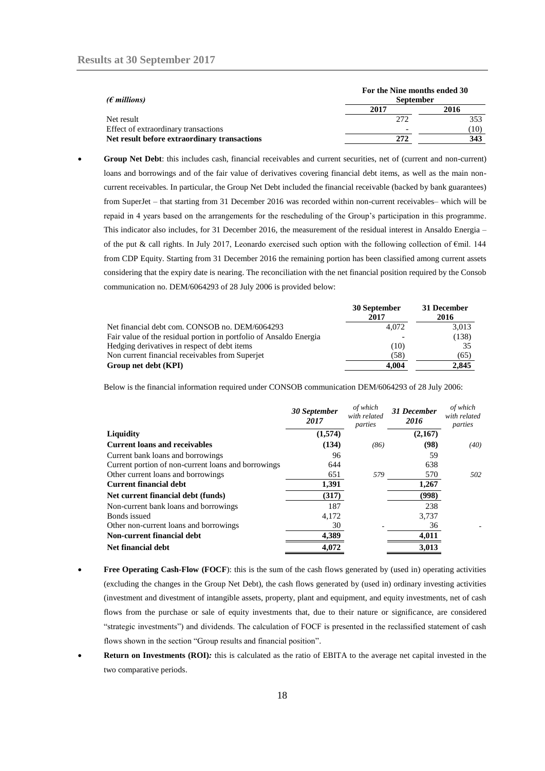| ( $\epsilon$ millions)                       | For the Nine months ended 30<br><b>September</b> |      |  |
|----------------------------------------------|--------------------------------------------------|------|--|
|                                              | 2017                                             | 2016 |  |
| Net result                                   | 272                                              | 353  |  |
| Effect of extraordinary transactions         | $\overline{\phantom{0}}$                         | (10) |  |
| Net result before extraordinary transactions | 272                                              | 343  |  |

 **Group Net Debt**: this includes cash, financial receivables and current securities, net of (current and non-current) loans and borrowings and of the fair value of derivatives covering financial debt items, as well as the main noncurrent receivables. In particular, the Group Net Debt included the financial receivable (backed by bank guarantees) from SuperJet – that starting from 31 December 2016 was recorded within non-current receivables– which will be repaid in 4 years based on the arrangements for the rescheduling of the Group's participation in this programme. This indicator also includes, for 31 December 2016, the measurement of the residual interest in Ansaldo Energia – of the put & call rights. In July 2017, Leonardo exercised such option with the following collection of  $\epsilon$ mil. 144 from CDP Equity. Starting from 31 December 2016 the remaining portion has been classified among current assets considering that the expiry date is nearing. The reconciliation with the net financial position required by the Consob communication no. DEM/6064293 of 28 July 2006 is provided below:

|                                                                    | 30 September<br>2017 | 31 December<br>2016 |
|--------------------------------------------------------------------|----------------------|---------------------|
| Net financial debt com. CONSOB no. DEM/6064293                     | 4.072                | 3,013               |
| Fair value of the residual portion in portfolio of Ansaldo Energia |                      | (138)               |
| Hedging derivatives in respect of debt items                       | (10)                 | 35                  |
| Non current financial receivables from Superjet                    | (58)                 | (65)                |
| Group net debt (KPI)                                               | 4.004                | 2.845               |

Below is the financial information required under CONSOB communication DEM/6064293 of 28 July 2006:

|                                                     | 30 September<br>2017 | of which<br>with related<br>parties | 31 December<br>2016 | of which<br>with related<br>parties |
|-----------------------------------------------------|----------------------|-------------------------------------|---------------------|-------------------------------------|
| Liquidity                                           | (1,574)              |                                     | (2,167)             |                                     |
| <b>Current loans and receivables</b>                | (134)                | (86)                                | (98)                | (40)                                |
| Current bank loans and borrowings                   | 96                   |                                     | 59                  |                                     |
| Current portion of non-current loans and borrowings | 644                  |                                     | 638                 |                                     |
| Other current loans and borrowings                  | 651                  | 579                                 | 570                 | 502                                 |
| <b>Current financial debt</b>                       | 1,391                |                                     | 1,267               |                                     |
| Net current financial debt (funds)                  | (317)                |                                     | (998)               |                                     |
| Non-current bank loans and borrowings               | 187                  |                                     | 238                 |                                     |
| Bonds issued                                        | 4,172                |                                     | 3,737               |                                     |
| Other non-current loans and borrowings              | 30                   |                                     | 36                  |                                     |
| Non-current financial debt                          | 4,389                |                                     | 4,011               |                                     |
| <b>Net financial debt</b>                           | 4.072                |                                     | 3,013               |                                     |

- **Free Operating Cash-Flow (FOCF**): this is the sum of the cash flows generated by (used in) operating activities (excluding the changes in the Group Net Debt), the cash flows generated by (used in) ordinary investing activities (investment and divestment of intangible assets, property, plant and equipment, and equity investments, net of cash flows from the purchase or sale of equity investments that, due to their nature or significance, are considered "strategic investments") and dividends. The calculation of FOCF is presented in the reclassified statement of cash flows shown in the section "Group results and financial position".
- **Return on Investments (ROI)***:* this is calculated as the ratio of EBITA to the average net capital invested in the two comparative periods.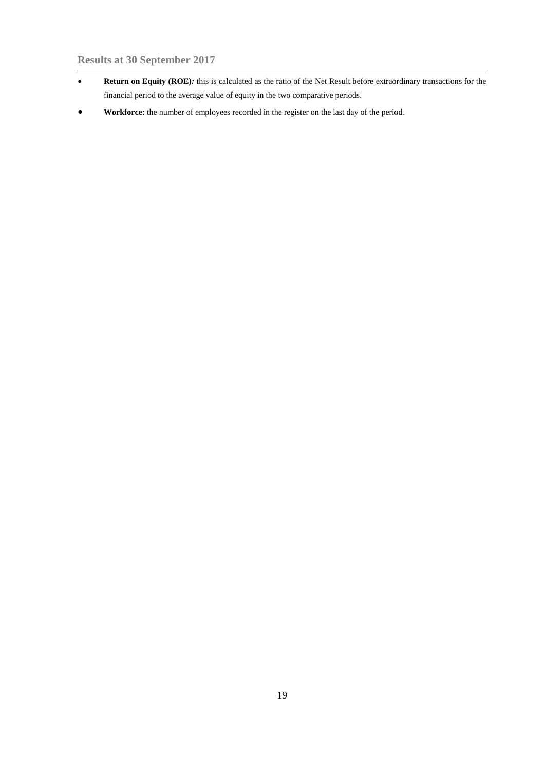- **Return on Equity (ROE)***:* this is calculated as the ratio of the Net Result before extraordinary transactions for the financial period to the average value of equity in the two comparative periods.
- **Workforce:** the number of employees recorded in the register on the last day of the period.